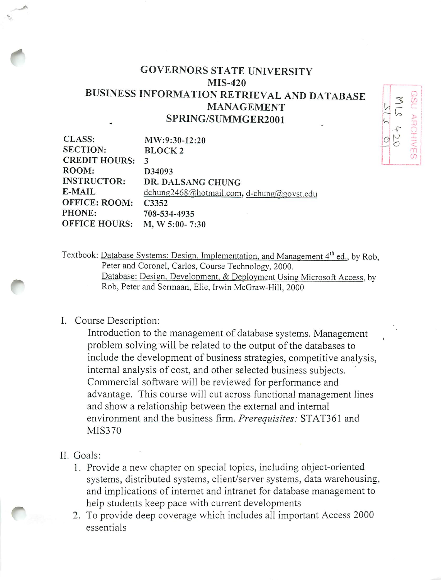## GOVERNORS STATE UNIVERSITY MIS-420 BUSINESS INFORMATION RETRIEVAL AND DATABASE MANAGEMENT SPRING/SUMMGER2001

| CLASS:               | MW:9:30-12:20                             |
|----------------------|-------------------------------------------|
| <b>SECTION:</b>      | <b>BLOCK2</b>                             |
| <b>CREDIT HOURS:</b> | 3                                         |
| ROOM:                | D34093                                    |
| <b>INSTRUCTOR:</b>   | DR. DALSANG CHUNG                         |
| E-MAIL               | dchung2468@hotmail.com, d-chung@govst.edu |
| OFFICE: ROOM:        | C3352                                     |
| PHONE:               | 708-534-4935                              |
| <b>OFFICE HOURS:</b> | $M, W 5:00 - 7:30$                        |

Textbook: Database Systems: Design, Implementation, and Management 4<sup>th</sup> ed., by Rob, Peter and Coronel, Carlos, Course Technology, 2000. Database: Design. Development. & Deployment Using Microsoft Access, by Rob, Peter and Sermaan, Elie, Irwin McGraw-Hill, 2000

## I. Course Description:

Introduction to the management of database systems. Management problem solving will be related to the output of the databases to include the development of business strategies, competitive analysis, internal analysis of cost, and other selected business subjects. Commercial software will be reviewed for performance and advantage. This course will cut across functional management lines and show a relationship between the external and internal environment and the business firm. **Prerequisites:** STAT361 and MIS370

## II. Goals:

*-"^*

*t*

- 1. Provide a new chapter on special topics, including object-oriented systems, distributed systems, client/server systems, data warehousing, and implications of internet and intranet for database management to help students keep pace with current developments
- 2. To provide deep coverage which includes all important Access 2000 essentials